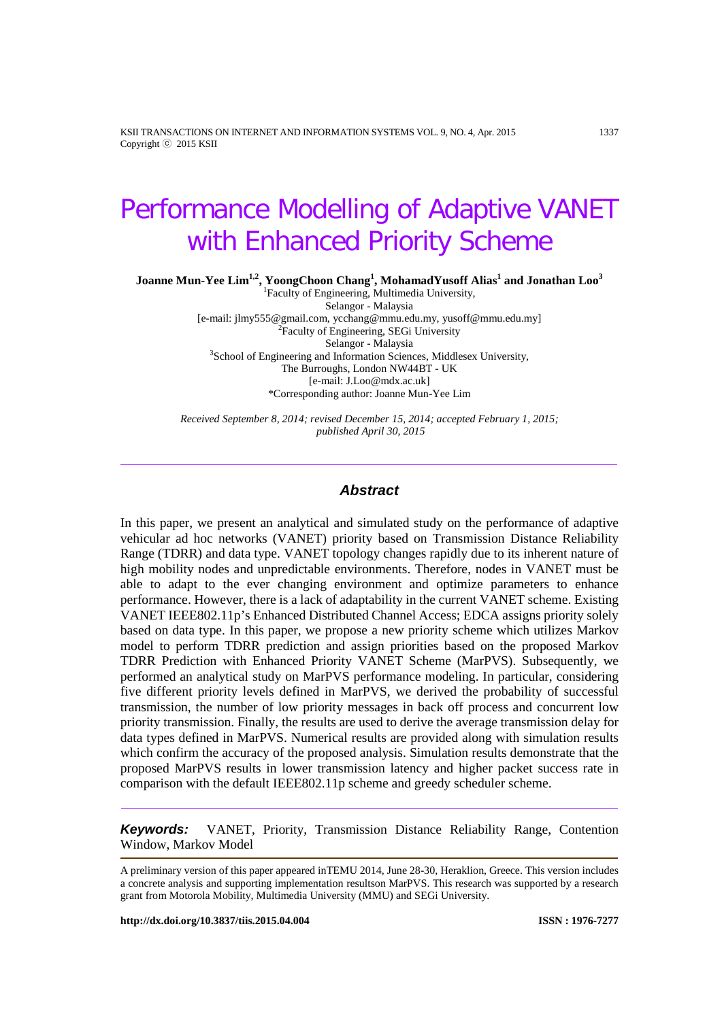KSII TRANSACTIONS ON INTERNET AND INFORMATION SYSTEMS VOL. 9, NO. 4, Apr. 2015 1337 Copyright ⓒ 2015 KSII

# Performance Modelling of Adaptive VANET with Enhanced Priority Scheme

**Joanne Mun-Yee Lim1,2, YoongChoon Chang1 , MohamadYusoff Alias1 and Jonathan Loo<sup>3</sup>**

1 Faculty of Engineering, Multimedia University, Selangor - Malaysia [e-mail[: jlmy555@gmail.com,](mailto:jlmy555@gmail.com) [ycchang@mmu.edu.my,](mailto:ycchang@mmu.edu.my) yusoff@mmu.edu.my] <sup>2</sup>  ${}^{2}$ Faculty of Engineering, SEGi University<br>Selangor - Malaysia Selangor - Malaysia<br><sup>3</sup>School of Engineering and Information Sciences, Middlesex University, The Burroughs, London NW44BT - UK [e-mail[: J.Loo@mdx.ac.uk\]](mailto:J.Loo@mdx.ac.uk) \*Corresponding author: Joanne Mun-Yee Lim

*Received September 8, 2014; revised December 15, 2014; accepted February 1, 2015; published April 30, 2015*

#### *Abstract*

In this paper, we present an analytical and simulated study on the performance of adaptive vehicular ad hoc networks (VANET) priority based on Transmission Distance Reliability Range (TDRR) and data type. VANET topology changes rapidly due to its inherent nature of high mobility nodes and unpredictable environments. Therefore, nodes in VANET must be able to adapt to the ever changing environment and optimize parameters to enhance performance. However, there is a lack of adaptability in the current VANET scheme. Existing VANET IEEE802.11p's Enhanced Distributed Channel Access; EDCA assigns priority solely based on data type. In this paper, we propose a new priority scheme which utilizes Markov model to perform TDRR prediction and assign priorities based on the proposed Markov TDRR Prediction with Enhanced Priority VANET Scheme (MarPVS). Subsequently, we performed an analytical study on MarPVS performance modeling. In particular, considering five different priority levels defined in MarPVS, we derived the probability of successful transmission, the number of low priority messages in back off process and concurrent low priority transmission. Finally, the results are used to derive the average transmission delay for data types defined in MarPVS. Numerical results are provided along with simulation results which confirm the accuracy of the proposed analysis. Simulation results demonstrate that the proposed MarPVS results in lower transmission latency and higher packet success rate in comparison with the default IEEE802.11p scheme and greedy scheduler scheme.

*Keywords:* VANET, Priority, Transmission Distance Reliability Range, Contention Window, Markov Model

A preliminary version of this paper appeared inTEMU 2014, June 28-30, Heraklion, Greece. This version includes a concrete analysis and supporting implementation resultson MarPVS. This research was supported by a research grant from Motorola Mobility, Multimedia University (MMU) and SEGi University.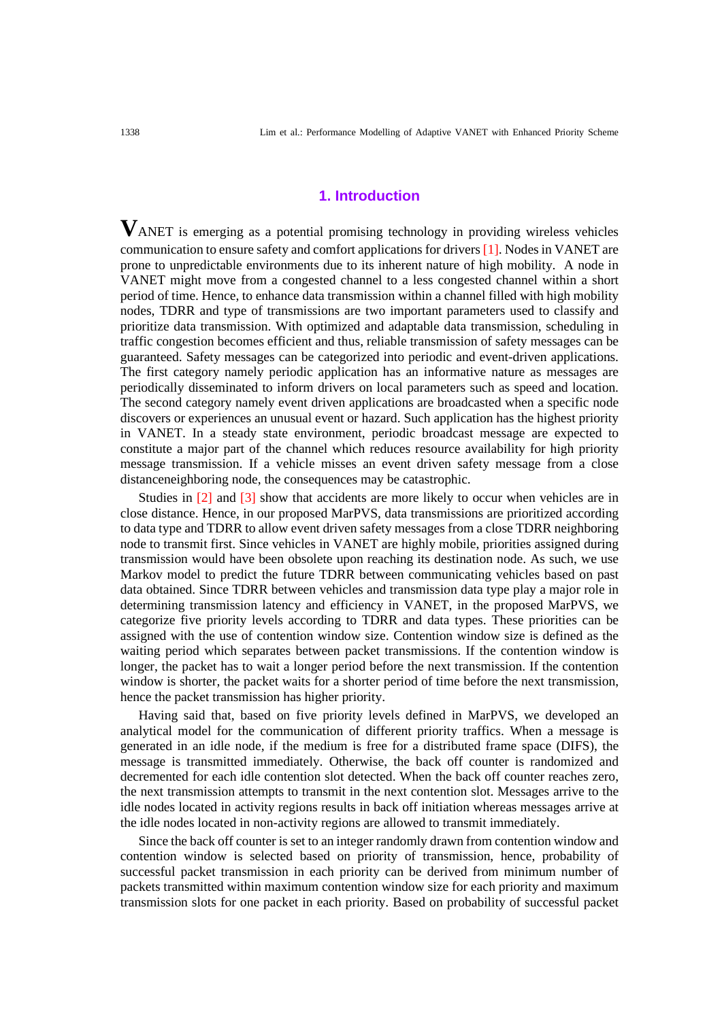#### **1. Introduction**

**V**ANET is emerging as a potential promising technology in providing wireless vehicles communication to ensure safety and comfort applications for drivers [1]. Nodes in VANET are prone to unpredictable environments due to its inherent nature of high mobility. A node in VANET might move from a congested channel to a less congested channel within a short period of time. Hence, to enhance data transmission within a channel filled with high mobility nodes, TDRR and type of transmissions are two important parameters used to classify and prioritize data transmission. With optimized and adaptable data transmission, scheduling in traffic congestion becomes efficient and thus, reliable transmission of safety messages can be guaranteed. Safety messages can be categorized into periodic and event-driven applications. The first category namely periodic application has an informative nature as messages are periodically disseminated to inform drivers on local parameters such as speed and location. The second category namely event driven applications are broadcasted when a specific node discovers or experiences an unusual event or hazard. Such application has the highest priority in VANET. In a steady state environment, periodic broadcast message are expected to constitute a major part of the channel which reduces resource availability for high priority message transmission. If a vehicle misses an event driven safety message from a close distanceneighboring node, the consequences may be catastrophic.

Studies in [2] and [3] show that accidents are more likely to occur when vehicles are in close distance. Hence, in our proposed MarPVS, data transmissions are prioritized according to data type and TDRR to allow event driven safety messages from a close TDRR neighboring node to transmit first. Since vehicles in VANET are highly mobile, priorities assigned during transmission would have been obsolete upon reaching its destination node. As such, we use Markov model to predict the future TDRR between communicating vehicles based on past data obtained. Since TDRR between vehicles and transmission data type play a major role in determining transmission latency and efficiency in VANET, in the proposed MarPVS, we categorize five priority levels according to TDRR and data types. These priorities can be assigned with the use of contention window size. Contention window size is defined as the waiting period which separates between packet transmissions. If the contention window is longer, the packet has to wait a longer period before the next transmission. If the contention window is shorter, the packet waits for a shorter period of time before the next transmission, hence the packet transmission has higher priority.

Having said that, based on five priority levels defined in MarPVS, we developed an analytical model for the communication of different priority traffics. When a message is generated in an idle node, if the medium is free for a distributed frame space (DIFS), the message is transmitted immediately. Otherwise, the back off counter is randomized and decremented for each idle contention slot detected. When the back off counter reaches zero, the next transmission attempts to transmit in the next contention slot. Messages arrive to the idle nodes located in activity regions results in back off initiation whereas messages arrive at the idle nodes located in non-activity regions are allowed to transmit immediately.

Since the back off counter is set to an integer randomly drawn from contention window and contention window is selected based on priority of transmission, hence, probability of successful packet transmission in each priority can be derived from minimum number of packets transmitted within maximum contention window size for each priority and maximum transmission slots for one packet in each priority. Based on probability of successful packet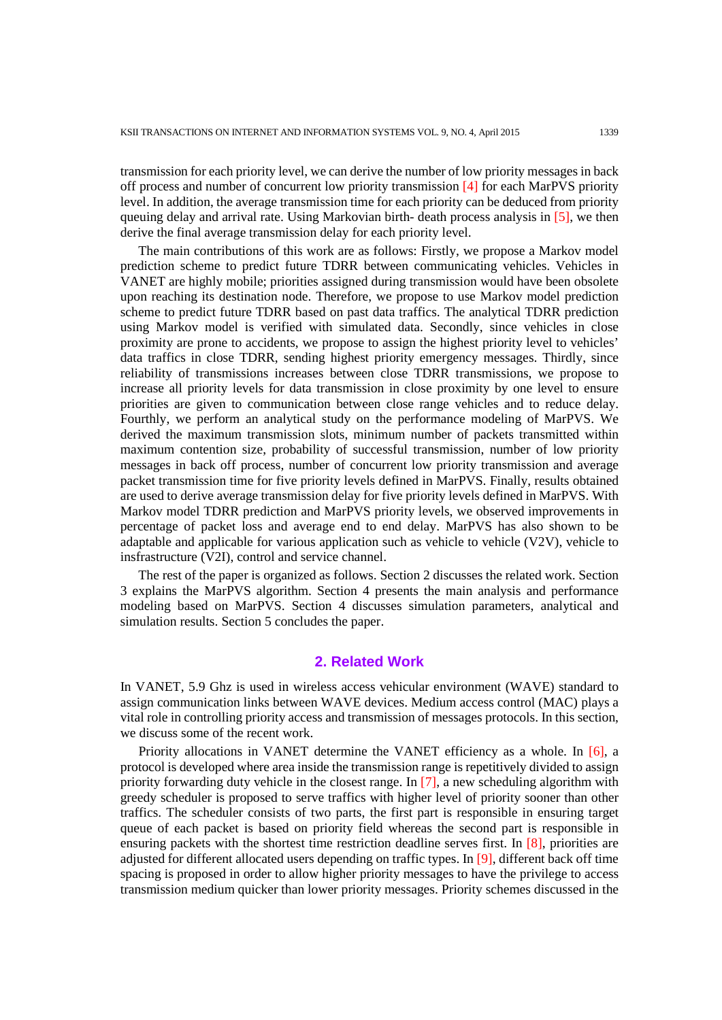transmission for each priority level, we can derive the number of low priority messages in back off process and number of concurrent low priority transmission [4] for each MarPVS priority level. In addition, the average transmission time for each priority can be deduced from priority queuing delay and arrival rate. Using Markovian birth- death process analysis in [5], we then derive the final average transmission delay for each priority level.

The main contributions of this work are as follows: Firstly, we propose a Markov model prediction scheme to predict future TDRR between communicating vehicles. Vehicles in VANET are highly mobile; priorities assigned during transmission would have been obsolete upon reaching its destination node. Therefore, we propose to use Markov model prediction scheme to predict future TDRR based on past data traffics. The analytical TDRR prediction using Markov model is verified with simulated data. Secondly, since vehicles in close proximity are prone to accidents, we propose to assign the highest priority level to vehicles' data traffics in close TDRR, sending highest priority emergency messages. Thirdly, since reliability of transmissions increases between close TDRR transmissions, we propose to increase all priority levels for data transmission in close proximity by one level to ensure priorities are given to communication between close range vehicles and to reduce delay. Fourthly, we perform an analytical study on the performance modeling of MarPVS. We derived the maximum transmission slots, minimum number of packets transmitted within maximum contention size, probability of successful transmission, number of low priority messages in back off process, number of concurrent low priority transmission and average packet transmission time for five priority levels defined in MarPVS. Finally, results obtained are used to derive average transmission delay for five priority levels defined in MarPVS. With Markov model TDRR prediction and MarPVS priority levels, we observed improvements in percentage of packet loss and average end to end delay. MarPVS has also shown to be adaptable and applicable for various application such as vehicle to vehicle (V2V), vehicle to insfrastructure (V2I), control and service channel.

The rest of the paper is organized as follows. Section 2 discusses the related work. Section 3 explains the MarPVS algorithm. Section 4 presents the main analysis and performance modeling based on MarPVS. Section 4 discusses simulation parameters, analytical and simulation results. Section 5 concludes the paper.

## **2. Related Work**

In VANET, 5.9 Ghz is used in wireless access vehicular environment (WAVE) standard to assign communication links between WAVE devices. Medium access control (MAC) plays a vital role in controlling priority access and transmission of messages protocols. In this section, we discuss some of the recent work.

Priority allocations in VANET determine the VANET efficiency as a whole. In [6], a protocol is developed where area inside the transmission range is repetitively divided to assign priority forwarding duty vehicle in the closest range. In [7], a new scheduling algorithm with greedy scheduler is proposed to serve traffics with higher level of priority sooner than other traffics. The scheduler consists of two parts, the first part is responsible in ensuring target queue of each packet is based on priority field whereas the second part is responsible in ensuring packets with the shortest time restriction deadline serves first. In [8], priorities are adjusted for different allocated users depending on traffic types. In [9], different back off time spacing is proposed in order to allow higher priority messages to have the privilege to access transmission medium quicker than lower priority messages. Priority schemes discussed in the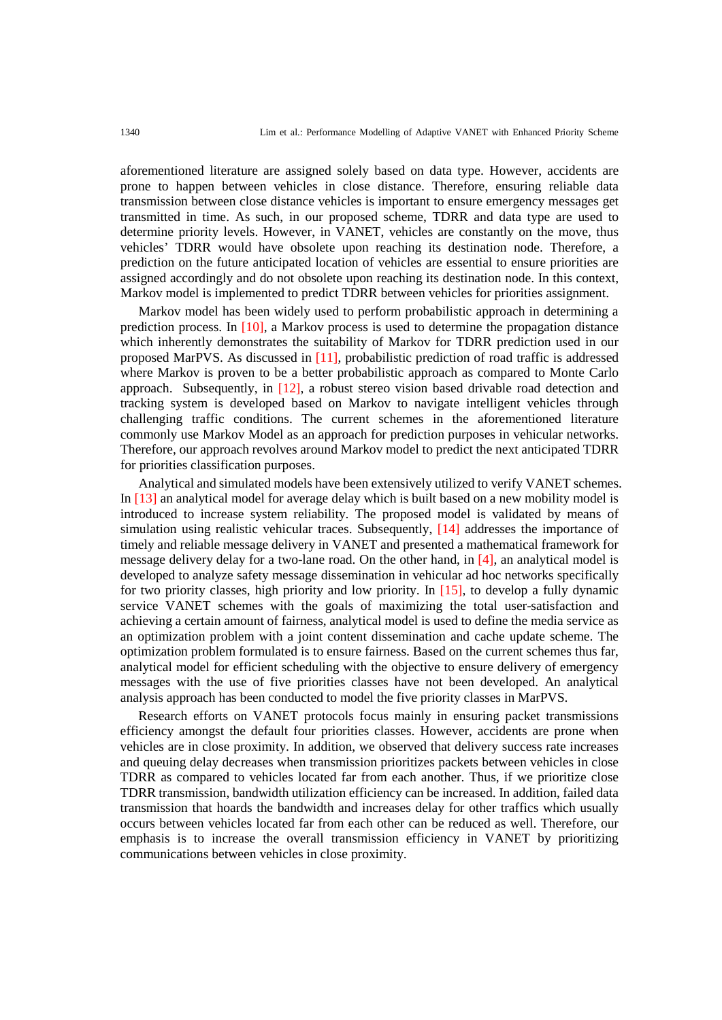aforementioned literature are assigned solely based on data type. However, accidents are prone to happen between vehicles in close distance. Therefore, ensuring reliable data transmission between close distance vehicles is important to ensure emergency messages get transmitted in time. As such, in our proposed scheme, TDRR and data type are used to determine priority levels. However, in VANET, vehicles are constantly on the move, thus vehicles' TDRR would have obsolete upon reaching its destination node. Therefore, a prediction on the future anticipated location of vehicles are essential to ensure priorities are assigned accordingly and do not obsolete upon reaching its destination node. In this context, Markov model is implemented to predict TDRR between vehicles for priorities assignment.

Markov model has been widely used to perform probabilistic approach in determining a prediction process. In [10], a Markov process is used to determine the propagation distance which inherently demonstrates the suitability of Markov for TDRR prediction used in our proposed MarPVS. As discussed in [11], probabilistic prediction of road traffic is addressed where Markov is proven to be a better probabilistic approach as compared to Monte Carlo approach. Subsequently, in [12], a robust stereo vision based drivable road detection and tracking system is developed based on Markov to navigate intelligent vehicles through challenging traffic conditions. The current schemes in the aforementioned literature commonly use Markov Model as an approach for prediction purposes in vehicular networks. Therefore, our approach revolves around Markov model to predict the next anticipated TDRR for priorities classification purposes.

Analytical and simulated models have been extensively utilized to verify VANET schemes. In [13] an analytical model for average delay which is built based on a new mobility model is introduced to increase system reliability. The proposed model is validated by means of simulation using realistic vehicular traces. Subsequently, [14] addresses the importance of timely and reliable message delivery in VANET and presented a mathematical framework for message delivery delay for a two-lane road. On the other hand, in [4], an analytical model is developed to analyze safety message dissemination in vehicular ad hoc networks specifically for two priority classes, high priority and low priority. In [15], to develop a fully dynamic service VANET schemes with the goals of maximizing the total user-satisfaction and achieving a certain amount of fairness, analytical model is used to define the media service as an optimization problem with a joint content dissemination and cache update scheme. The optimization problem formulated is to ensure fairness. Based on the current schemes thus far, analytical model for efficient scheduling with the objective to ensure delivery of emergency messages with the use of five priorities classes have not been developed. An analytical analysis approach has been conducted to model the five priority classes in MarPVS.

Research efforts on VANET protocols focus mainly in ensuring packet transmissions efficiency amongst the default four priorities classes. However, accidents are prone when vehicles are in close proximity. In addition, we observed that delivery success rate increases and queuing delay decreases when transmission prioritizes packets between vehicles in close TDRR as compared to vehicles located far from each another. Thus, if we prioritize close TDRR transmission, bandwidth utilization efficiency can be increased. In addition, failed data transmission that hoards the bandwidth and increases delay for other traffics which usually occurs between vehicles located far from each other can be reduced as well. Therefore, our emphasis is to increase the overall transmission efficiency in VANET by prioritizing communications between vehicles in close proximity.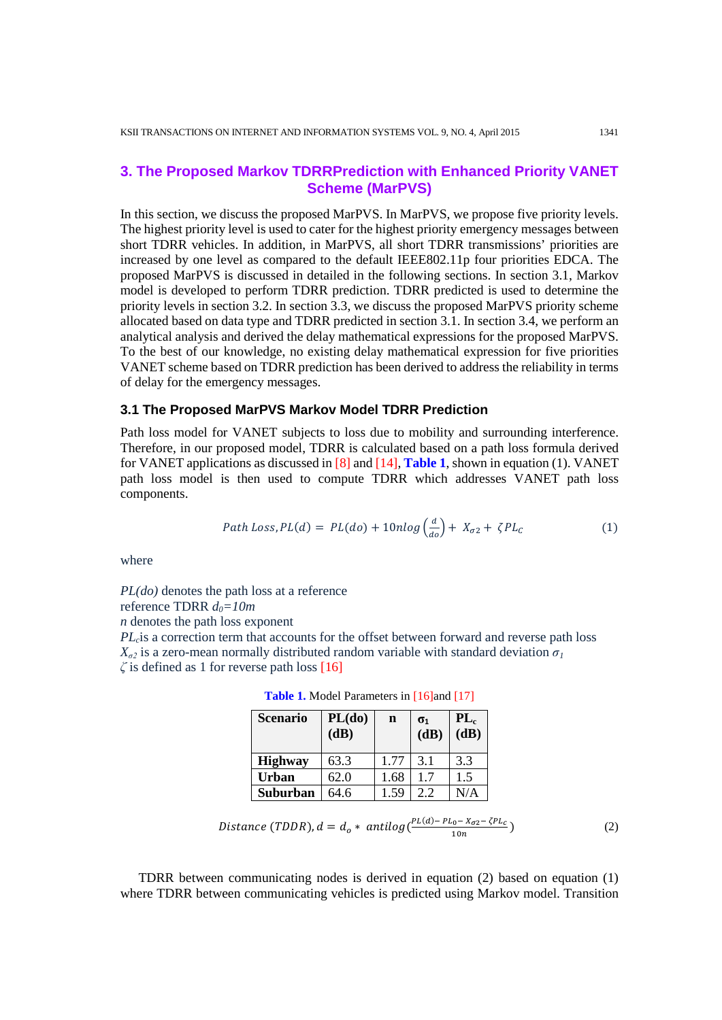# **3. The Proposed Markov TDRRPrediction with Enhanced Priority VANET Scheme (MarPVS)**

In this section, we discuss the proposed MarPVS. In MarPVS, we propose five priority levels. The highest priority level is used to cater for the highest priority emergency messages between short TDRR vehicles. In addition, in MarPVS, all short TDRR transmissions' priorities are increased by one level as compared to the default IEEE802.11p four priorities EDCA. The proposed MarPVS is discussed in detailed in the following sections. In section 3.1, Markov model is developed to perform TDRR prediction. TDRR predicted is used to determine the priority levels in section 3.2. In section 3.3, we discuss the proposed MarPVS priority scheme allocated based on data type and TDRR predicted in section 3.1. In section 3.4, we perform an analytical analysis and derived the delay mathematical expressions for the proposed MarPVS. To the best of our knowledge, no existing delay mathematical expression for five priorities VANET scheme based on TDRR prediction has been derived to address the reliability in terms of delay for the emergency messages.

#### **3.1 The Proposed MarPVS Markov Model TDRR Prediction**

Path loss model for VANET subjects to loss due to mobility and surrounding interference. Therefore, in our proposed model, TDRR is calculated based on a path loss formula derived for VANET applications as discussed in [8] and [14], **Table 1**, shown in equation (1). VANET path loss model is then used to compute TDRR which addresses VANET path loss components.

Path Loss, 
$$
PL(d) = PL(do) + 10nlog(\frac{a}{do}) + X_{\sigma 2} + \zeta PL_c
$$
 (1)

 $\mathcal{L}$ 

where

*PL(do)* denotes the path loss at a reference reference TDRR  $d_0=10m$ *n* denotes the path loss exponent

*PL<sub>c</sub>*is a correction term that accounts for the offset between forward and reverse path loss  $X_{\sigma^2}$  is a zero-mean normally distributed random variable with standard deviation  $\sigma^1$ *ζ* is defined as 1 for reverse path loss [16]

| <b>Scenario</b> | PL(do)<br>(dB) | n    | $\sigma_1$<br>(dB) | $PL_c$<br>$(d\vec{B})$ |
|-----------------|----------------|------|--------------------|------------------------|
| <b>Highway</b>  | 63.3           | 1.77 | 3.1                | 3.3                    |
| <b>Urban</b>    | 62.0           | 1.68 | 17                 | 1.5                    |
| Suburban        | 64.6           | 1.59 | 2.2                | $\rm N/A$              |

Table 1. Model Parameters in [16]and [17]

Distance (TDDR),  $d = d_o * antilog(\frac{PL(a) - PL_0 - X_{\sigma 2} - \zeta PL_c}{10n})$  (2)

TDRR between communicating nodes is derived in equation (2) based on equation (1) where TDRR between communicating vehicles is predicted using Markov model. Transition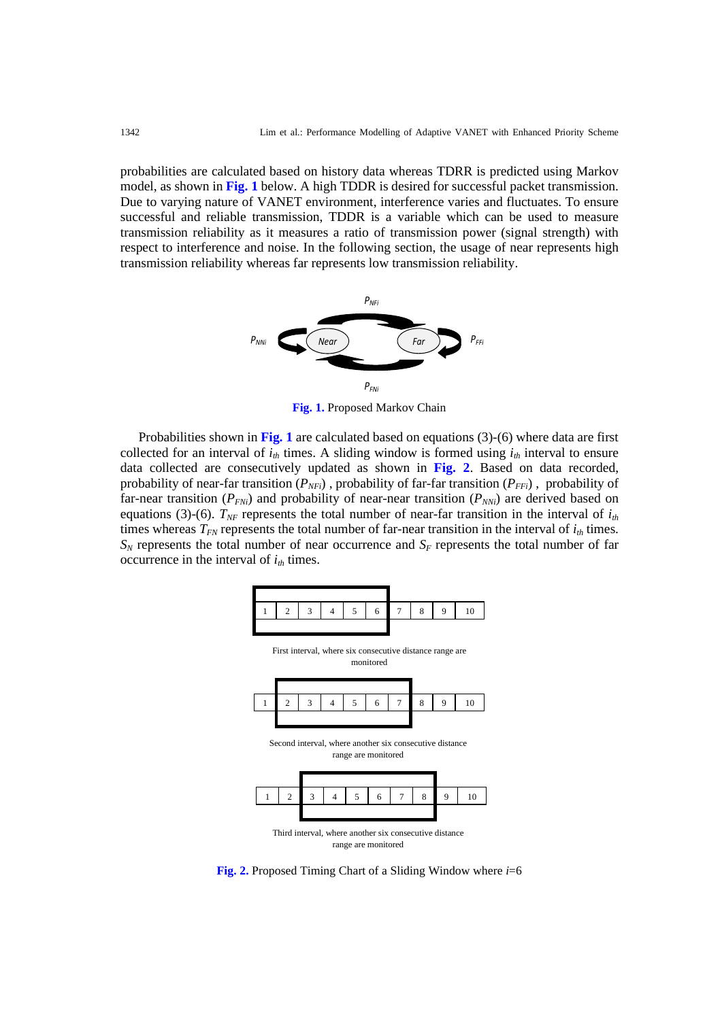probabilities are calculated based on history data whereas TDRR is predicted using Markov model, as shown in **Fig. 1** below. A high TDDR is desired for successful packet transmission. Due to varying nature of VANET environment, interference varies and fluctuates. To ensure successful and reliable transmission, TDDR is a variable which can be used to measure transmission reliability as it measures a ratio of transmission power (signal strength) with respect to interference and noise. In the following section, the usage of near represents high transmission reliability whereas far represents low transmission reliability.



**Fig. 1.** Proposed Markov Chain

Probabilities shown in **Fig. 1** are calculated based on equations (3)-(6) where data are first collected for an interval of  $i<sub>th</sub>$  times. A sliding window is formed using  $i<sub>th</sub>$  interval to ensure data collected are consecutively updated as shown in **Fig. 2**. Based on data recorded, probability of near-far transition  $(P_{NFi})$ , probability of far-far transition  $(P_{FFi})$ , probability of far-near transition ( $P_{FNi}$ ) and probability of near-near transition ( $P_{NNi}$ ) are derived based on equations (3)-(6).  $T_{NF}$  represents the total number of near-far transition in the interval of  $i_{th}$ times whereas  $T_{FN}$  represents the total number of far-near transition in the interval of  $i_{th}$  times.  $S_N$  represents the total number of near occurrence and  $S_F$  represents the total number of far occurrence in the interval of  $i_{th}$  times.



**Fig. 2.** Proposed Timing Chart of a Sliding Window where *i*=6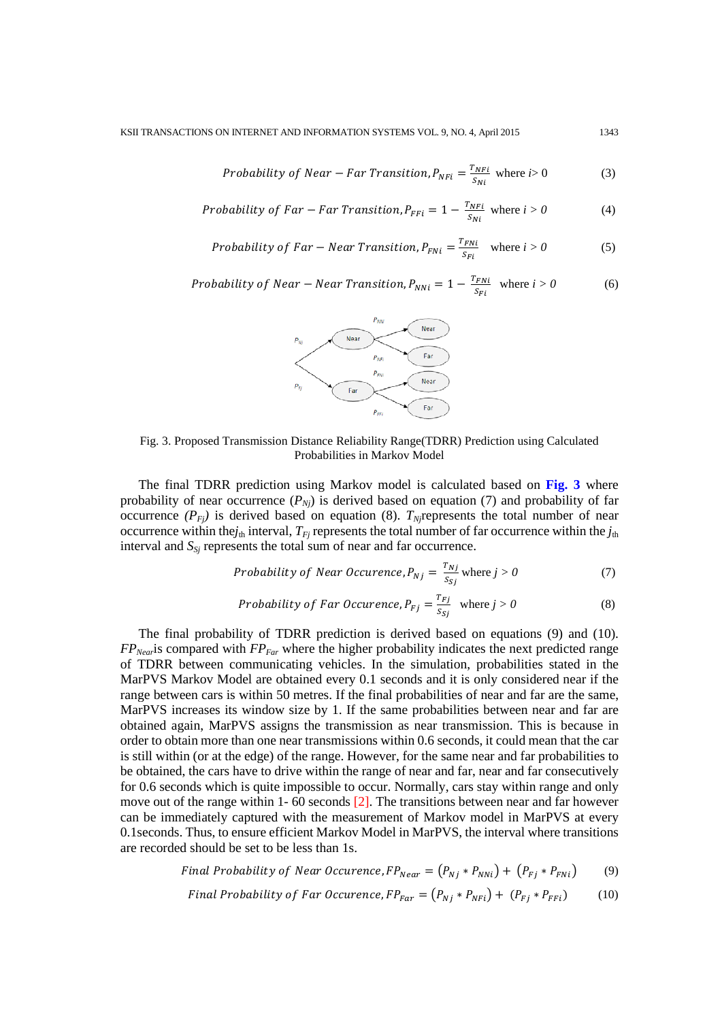Probability of Near – Far Transition, 
$$
P_{NFi} = \frac{T_{NFi}}{S_{Ni}}
$$
 where  $i > 0$  (3)

Probability of Far – Far Transition, 
$$
P_{FFi} = 1 - \frac{T_{NFi}}{S_{Ni}}
$$
 where  $i > 0$  (4)

Probability of Far – Near Transition, 
$$
P_{FNi} = \frac{T_{FNi}}{S_{Fi}}
$$
 where  $i > 0$  (5)

Probability of Near – Near Transition, 
$$
P_{NNi} = 1 - \frac{T_{FNi}}{S_{Fi}}
$$
 where  $i > 0$  (6)



Fig. 3. Proposed Transmission Distance Reliability Range(TDRR) Prediction using Calculated Probabilities in Markov Model

The final TDRR prediction using Markov model is calculated based on **Fig. 3** where probability of near occurrence  $(P_{Nj})$  is derived based on equation (7) and probability of far occurrence  $(P_{Fj})$  is derived based on equation (8).  $T_{Nj}$ represents the total number of near occurrence within the $j_{th}$  interval,  $T_{Fj}$  represents the total number of far occurrence within the  $j_{th}$ interval and  $S_{S_i}$  represents the total sum of near and far occurrence.

Probability of Near Occurrence, 
$$
P_{Nj} = \frac{r_{Nj}}{s_{sj}}
$$
 where  $j > 0$  (7)

Probability of Far Occurrence, 
$$
P_{Fj} = \frac{T_{Fj}}{S_{Sj}}
$$
 where  $j > 0$  (8)

The final probability of TDRR prediction is derived based on equations (9) and (10). *FP<sub>Near</sub>* is compared with *FP<sub>Far</sub>* where the higher probability indicates the next predicted range of TDRR between communicating vehicles. In the simulation, probabilities stated in the MarPVS Markov Model are obtained every 0.1 seconds and it is only considered near if the range between cars is within 50 metres. If the final probabilities of near and far are the same, MarPVS increases its window size by 1. If the same probabilities between near and far are obtained again, MarPVS assigns the transmission as near transmission. This is because in order to obtain more than one near transmissions within 0.6 seconds, it could mean that the car is still within (or at the edge) of the range. However, for the same near and far probabilities to be obtained, the cars have to drive within the range of near and far, near and far consecutively for 0.6 seconds which is quite impossible to occur. Normally, cars stay within range and only move out of the range within 1- 60 seconds [2]. The transitions between near and far however can be immediately captured with the measurement of Markov model in MarPVS at every 0.1seconds. Thus, to ensure efficient Markov Model in MarPVS, the interval where transitions are recorded should be set to be less than 1s.

Final Probability of Near Occurrence, 
$$
FP_{Near} = (P_{Nj} * P_{NNi}) + (P_{Fj} * P_{FNi})
$$
 (9)

$$
Final Probability of Far Occurrence, FP_{Far} = (P_{Nj} * P_{NFi}) + (P_{Fj} * P_{FFi})
$$
 (10)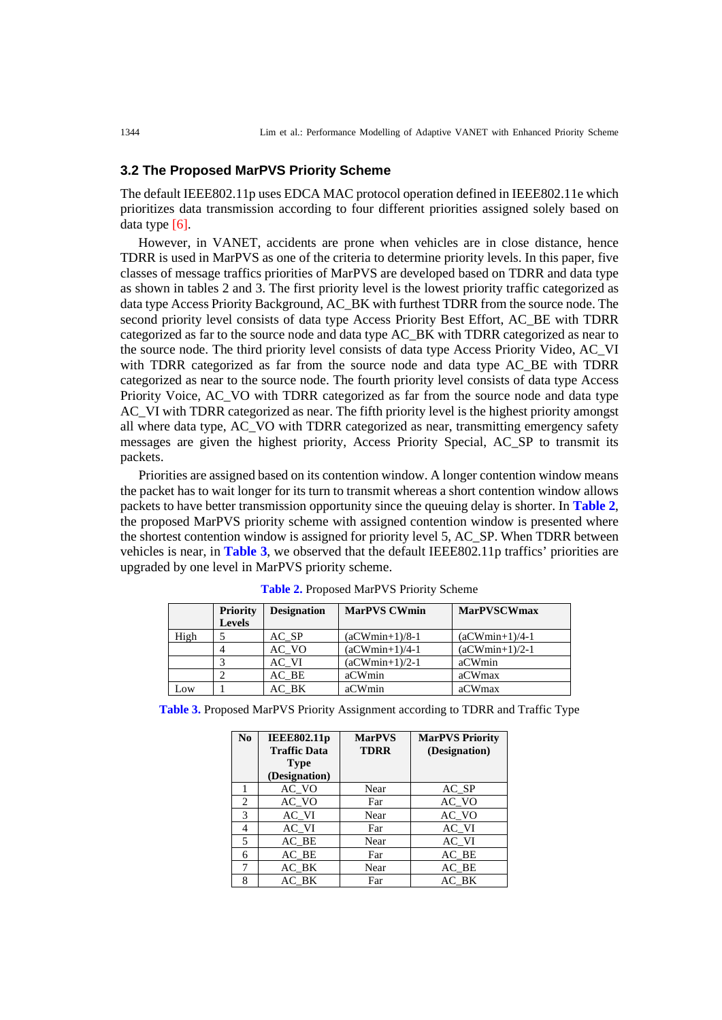#### **3.2 The Proposed MarPVS Priority Scheme**

The default IEEE802.11p uses EDCA MAC protocol operation defined in IEEE802.11e which prioritizes data transmission according to four different priorities assigned solely based on data type [6].

However, in VANET, accidents are prone when vehicles are in close distance, hence TDRR is used in MarPVS as one of the criteria to determine priority levels. In this paper, five classes of message traffics priorities of MarPVS are developed based on TDRR and data type as shown in tables 2 and 3. The first priority level is the lowest priority traffic categorized as data type Access Priority Background, AC\_BK with furthest TDRR from the source node. The second priority level consists of data type Access Priority Best Effort, AC\_BE with TDRR categorized as far to the source node and data type AC\_BK with TDRR categorized as near to the source node. The third priority level consists of data type Access Priority Video, AC\_VI with TDRR categorized as far from the source node and data type AC\_BE with TDRR categorized as near to the source node. The fourth priority level consists of data type Access Priority Voice, AC\_VO with TDRR categorized as far from the source node and data type AC\_VI with TDRR categorized as near. The fifth priority level is the highest priority amongst all where data type, AC\_VO with TDRR categorized as near, transmitting emergency safety messages are given the highest priority, Access Priority Special, AC\_SP to transmit its packets.

Priorities are assigned based on its contention window. A longer contention window means the packet has to wait longer for its turn to transmit whereas a short contention window allows packets to have better transmission opportunity since the queuing delay is shorter. In **Table 2**, the proposed MarPVS priority scheme with assigned contention window is presented where the shortest contention window is assigned for priority level 5, AC\_SP. When TDRR between vehicles is near, in **Table 3**, we observed that the default IEEE802.11p traffics' priorities are upgraded by one level in MarPVS priority scheme.

|      | <b>Priority</b> | <b>Designation</b> | <b>MarPVS CWmin</b> | <b>MarPVSCWmax</b> |
|------|-----------------|--------------------|---------------------|--------------------|
|      | <b>Levels</b>   |                    |                     |                    |
| High |                 | AC SP              | $(aCWmin+1)/8-1$    | $(aCWmin+1)/4-1$   |
|      |                 | AC VO              | $(aCWmin+1)/4-1$    | $(aCWmin+1)/2-1$   |
|      |                 | AC VI              | $(aCWmin+1)/2-1$    | aCWmin             |
|      |                 | AC BE              | aCWmin              | aCWmax             |
| Low  |                 | AC BK              | aCWmin              | aCWmax             |

**Table 2.** Proposed MarPVS Priority Scheme

|  |  |  |  |  |  | <b>Table 3.</b> Proposed MarPVS Priority Assignment according to TDRR and Traffic Type |  |  |  |
|--|--|--|--|--|--|----------------------------------------------------------------------------------------|--|--|--|
|--|--|--|--|--|--|----------------------------------------------------------------------------------------|--|--|--|

| No | <b>IEEE802.11p</b><br><b>Traffic Data</b> | <b>MarPVS</b><br><b>TDRR</b> | <b>MarPVS Priority</b><br>(Designation) |
|----|-------------------------------------------|------------------------------|-----------------------------------------|
|    | <b>Type</b><br>(Designation)              |                              |                                         |
|    | AC VO                                     | Near                         | AC SP                                   |
| 2  | $AC_VO$                                   | Far                          | $AC$ VO                                 |
| 3  | AC VI                                     | Near                         | AC VO                                   |
| 4  | $AC_VI$                                   | Far                          | $AC_VI$                                 |
| 5  | AC BE                                     | Near                         | $AC_VI$                                 |
| 6  | $AC$ $BE$                                 | Far                          | AC BE                                   |
| 7  | AC BK                                     | Near                         | AC BE                                   |
| 8  | AC BK                                     | Far                          | AC BK                                   |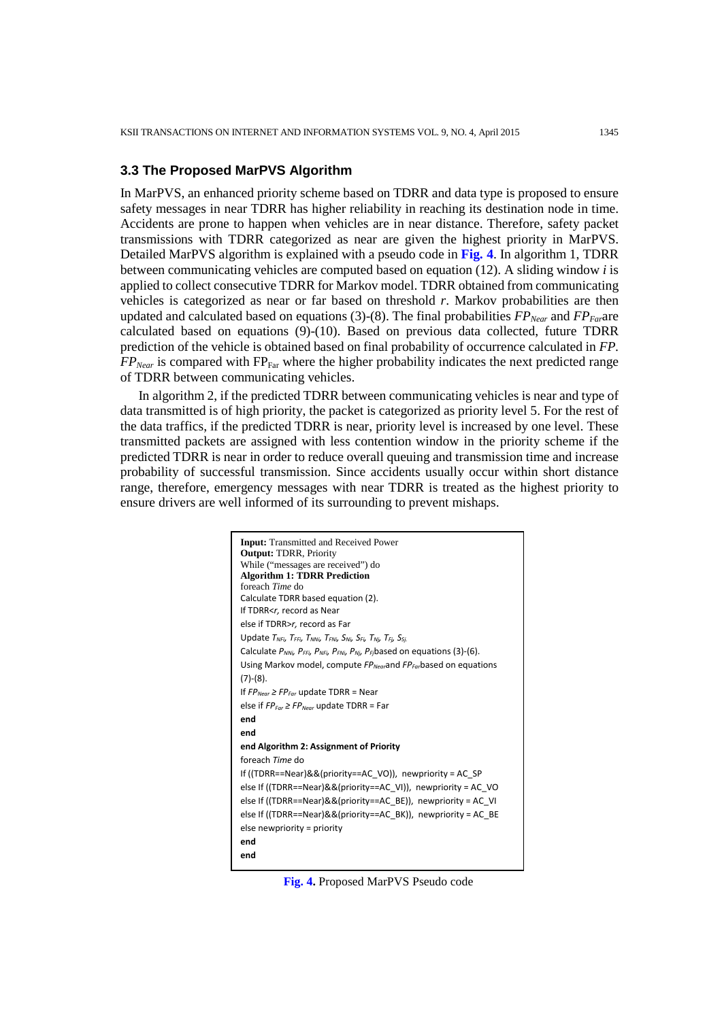#### **3.3 The Proposed MarPVS Algorithm**

In MarPVS, an enhanced priority scheme based on TDRR and data type is proposed to ensure safety messages in near TDRR has higher reliability in reaching its destination node in time. Accidents are prone to happen when vehicles are in near distance. Therefore, safety packet transmissions with TDRR categorized as near are given the highest priority in MarPVS. Detailed MarPVS algorithm is explained with a pseudo code in **Fig. 4**. In algorithm 1, TDRR between communicating vehicles are computed based on equation (12). A sliding window *i* is applied to collect consecutive TDRR for Markov model. TDRR obtained from communicating vehicles is categorized as near or far based on threshold *r*. Markov probabilities are then updated and calculated based on equations (3)-(8). The final probabilities  $FP_{Near}$  and  $FP_{Far}$  are calculated based on equations (9)-(10). Based on previous data collected, future TDRR prediction of the vehicle is obtained based on final probability of occurrence calculated in *FP*.  $FP_{Near}$  is compared with  $FP_{Far}$  where the higher probability indicates the next predicted range of TDRR between communicating vehicles.

In algorithm 2, if the predicted TDRR between communicating vehicles is near and type of data transmitted is of high priority, the packet is categorized as priority level 5. For the rest of the data traffics, if the predicted TDRR is near, priority level is increased by one level. These transmitted packets are assigned with less contention window in the priority scheme if the predicted TDRR is near in order to reduce overall queuing and transmission time and increase probability of successful transmission. Since accidents usually occur within short distance range, therefore, emergency messages with near TDRR is treated as the highest priority to ensure drivers are well informed of its surrounding to prevent mishaps.

| <b>Input:</b> Transmitted and Received Power                                                              |
|-----------------------------------------------------------------------------------------------------------|
| <b>Output: TDRR, Priority</b>                                                                             |
| While ("messages are received") do                                                                        |
| <b>Algorithm 1: TDRR Prediction</b>                                                                       |
| foreach Time do                                                                                           |
| Calculate TDRR based equation (2).<br>If TDRR <r, as="" near<="" record="" th=""></r,>                    |
|                                                                                                           |
| else if TDRR>r, record as Far                                                                             |
| Update $T_{NFi}$ , $T_{FFi}$ , $T_{NNi}$ , $T_{FNi}$ , $S_{Fi}$ , $T_{Ni}$ , $T_{Fi}$ , $S_{Si}$          |
| Calculate $P_{NNi}$ , $P_{FFi}$ , $P_{NFi}$ , $P_{FNi}$ , $P_{Ni}$ , $P_{Fi}$ based on equations (3)-(6). |
| Using Markov model, compute $FP_{Near}$ and $FP_{far}$ based on equations                                 |
| $(7)-(8).$                                                                                                |
| If $FP_{Near} \geq FP_{Far}$ update TDRR = Near                                                           |
| else if $FP_{\text{For}} \geq FP_{\text{Near}}$ update TDRR = Far                                         |
| end                                                                                                       |
| end                                                                                                       |
| end Algorithm 2: Assignment of Priority                                                                   |
| foreach Time do                                                                                           |
| If ((TDRR==Near)&&(priority==AC VO)), newpriority = AC SP                                                 |
| else If ((TDRR==Near)&&(priority==AC_VI)), newpriority = AC_VO                                            |
| else If ((TDRR==Near)&&(priority==AC BE)), newpriority = AC VI                                            |
| else If ((TDRR==Near)&&(priority==AC BK)), newpriority = AC BE                                            |
| else newpriority = priority                                                                               |
| end                                                                                                       |
|                                                                                                           |
| end                                                                                                       |

**Fig. 4.** Proposed MarPVS Pseudo code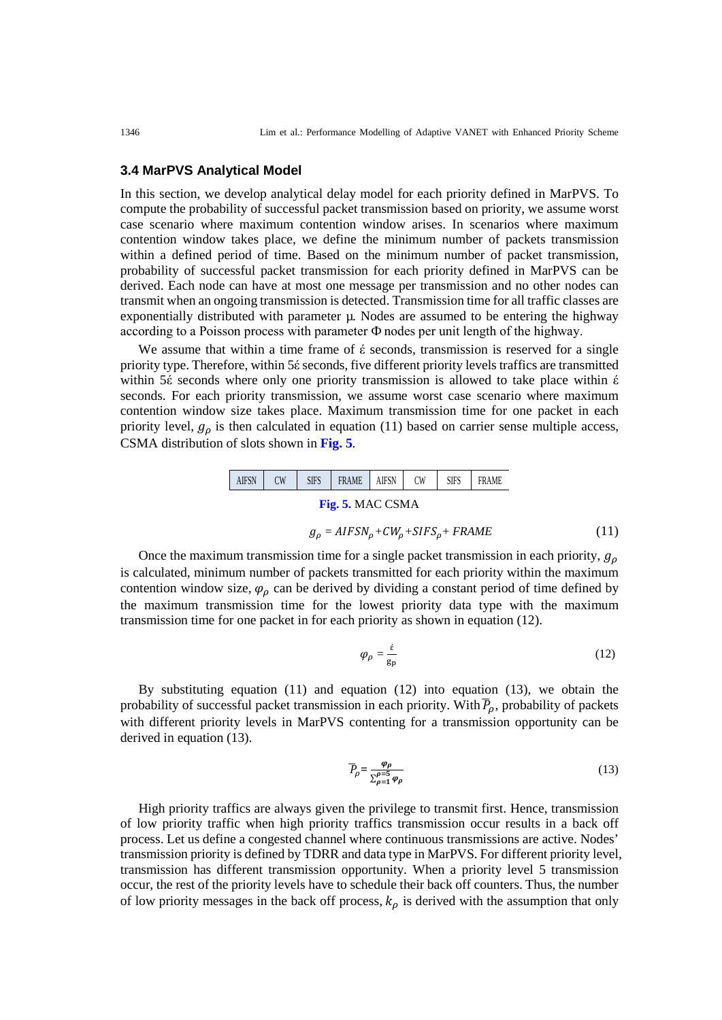#### **3.4 MarPVS Analytical Model**

In this section, we develop analytical delay model for each priority defined in MarPVS. To compute the probability of successful packet transmission based on priority, we assume worst case scenario where maximum contention window arises. In scenarios where maximum contention window takes place, we define the minimum number of packets transmission within a defined period of time. Based on the minimum number of packet transmission, probability of successful packet transmission for each priority defined in MarPVS can be derived. Each node can have at most one message per transmission and no other nodes can transmit when an ongoing transmission is detected. Transmission time for all traffic classes are exponentially distributed with parameter  $\mu$ . Nodes are assumed to be entering the highway according to a Poisson process with parameter Ф nodes per unit length of the highway.

We assume that within a time frame of  $\acute{\epsilon}$  seconds, transmission is reserved for a single priority type. Therefore, within 5έ seconds, five different priority levels traffics are transmitted within 5έ seconds where only one priority transmission is allowed to take place within έ seconds. For each priority transmission, we assume worst case scenario where maximum contention window size takes place. Maximum transmission time for one packet in each priority level,  $g_{\rho}$  is then calculated in equation (11) based on carrier sense multiple access, CSMA distribution of slots shown in **Fig. 5**.



$$
g_{\rho} = AIFSN_{\rho} + CW_{\rho} + SIFS_{\rho} + FRAME
$$
\n(11)

Once the maximum transmission time for a single packet transmission in each priority,  $g<sub>0</sub>$ is calculated, minimum number of packets transmitted for each priority within the maximum contention window size,  $\varphi$  can be derived by dividing a constant period of time defined by the maximum transmission time for the lowest priority data type with the maximum transmission time for one packet in for each priority as shown in equation (12).

$$
\varphi_{\rho} = \frac{\dot{\varepsilon}}{\mathbf{g}_{\mathbf{p}}} \tag{12}
$$

By substituting equation (11) and equation (12) into equation (13), we obtain the probability of successful packet transmission in each priority. With  $P_\rho$ , probability of packets with different priority levels in MarPVS contenting for a transmission opportunity can be derived in equation (13).

$$
\overline{P}_{\rho} = \frac{\varphi_{\rho}}{\sum_{\rho=1}^{\rho=5} \varphi_{\rho}} \tag{13}
$$

High priority traffics are always given the privilege to transmit first. Hence, transmission of low priority traffic when high priority traffics transmission occur results in a back off process. Let us define a congested channel where continuous transmissions are active. Nodes' transmission priority is defined by TDRR and data type in MarPVS. For different priority level, transmission has different transmission opportunity. When a priority level 5 transmission occur, the rest of the priority levels have to schedule their back off counters. Thus, the number of low priority messages in the back off process,  $k_{\rho}$  is derived with the assumption that only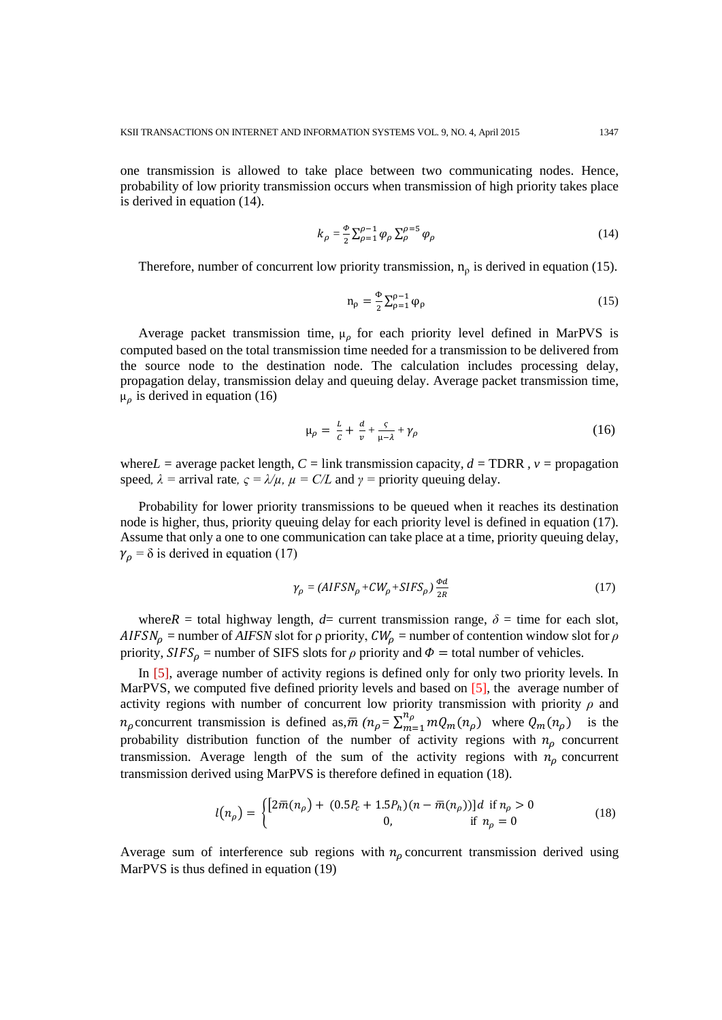one transmission is allowed to take place between two communicating nodes. Hence, probability of low priority transmission occurs when transmission of high priority takes place is derived in equation (14).

$$
k_{\rho} = \frac{\Phi}{2} \sum_{\rho=1}^{\rho-1} \varphi_{\rho} \sum_{\rho}^{\rho=5} \varphi_{\rho} \tag{14}
$$

Therefore, number of concurrent low priority transmission,  $n<sub>p</sub>$  is derived in equation (15).

$$
n_{\rho} = \frac{\Phi}{2} \sum_{\rho=1}^{\rho-1} \varphi_{\rho} \tag{15}
$$

Average packet transmission time,  $\mu_{\rho}$  for each priority level defined in MarPVS is computed based on the total transmission time needed for a transmission to be delivered from the source node to the destination node. The calculation includes processing delay, propagation delay, transmission delay and queuing delay. Average packet transmission time,  $\mu_{\rho}$  is derived in equation (16)

$$
\mu_{\rho} = \frac{L}{c} + \frac{d}{v} + \frac{c}{\mu - \lambda} + \gamma_{\rho} \tag{16}
$$

where  $L =$  average packet length,  $C =$  link transmission capacity,  $d =$  TDRR,  $v =$  propagation speed,  $\lambda$  = arrival rate,  $\varsigma = \lambda/\mu$ ,  $\mu = C/L$  and  $\gamma$  = priority queuing delay.

Probability for lower priority transmissions to be queued when it reaches its destination node is higher, thus, priority queuing delay for each priority level is defined in equation (17). Assume that only a one to one communication can take place at a time, priority queuing delay,  $\gamma_{\rho}$  =  $\delta$  is derived in equation (17)

$$
\gamma_{\rho} = (AIFSN_{\rho} + CW_{\rho} + SIFS_{\rho}) \frac{\omega a}{2R}
$$
\n(17)

where *R* = total highway length,  $d=$  current transmission range,  $\delta$  = time for each slot,  $AIFSN_{\rho}$  = number of *AIFSN* slot for  $\rho$  priority,  $CW_{\rho}$  = number of contention window slot for  $\rho$ priority,  $SIFS_{\rho}$  = number of SIFS slots for  $\rho$  priority and  $\Phi$  = total number of vehicles.

In [5], average number of activity regions is defined only for only two priority levels. In MarPVS, we computed five defined priority levels and based on [5], the average number of activity regions with number of concurrent low priority transmission with priority *ρ* and  $n_\rho$  concurrent transmission is defined as, $\overline{m}$  ( $n_\rho = \sum_{m=1}^{n_\rho} m Q_m(n_\rho)$ ) where  $Q_m(n_\rho)$  is the probability distribution function of the number of activity regions with  $n<sub>o</sub>$  concurrent transmission. Average length of the sum of the activity regions with  $n<sub>\rho</sub>$  concurrent transmission derived using MarPVS is therefore defined in equation (18).

$$
l(n_{\rho}) = \begin{cases} [2\bar{m}(n_{\rho}) + (0.5P_c + 1.5P_h)(n - \bar{m}(n_{\rho}))]d & \text{if } n_{\rho} > 0\\ 0, & \text{if } n_{\rho} = 0 \end{cases}
$$
(18)

Average sum of interference sub regions with  $n<sub>\rho</sub>$  concurrent transmission derived using MarPVS is thus defined in equation (19)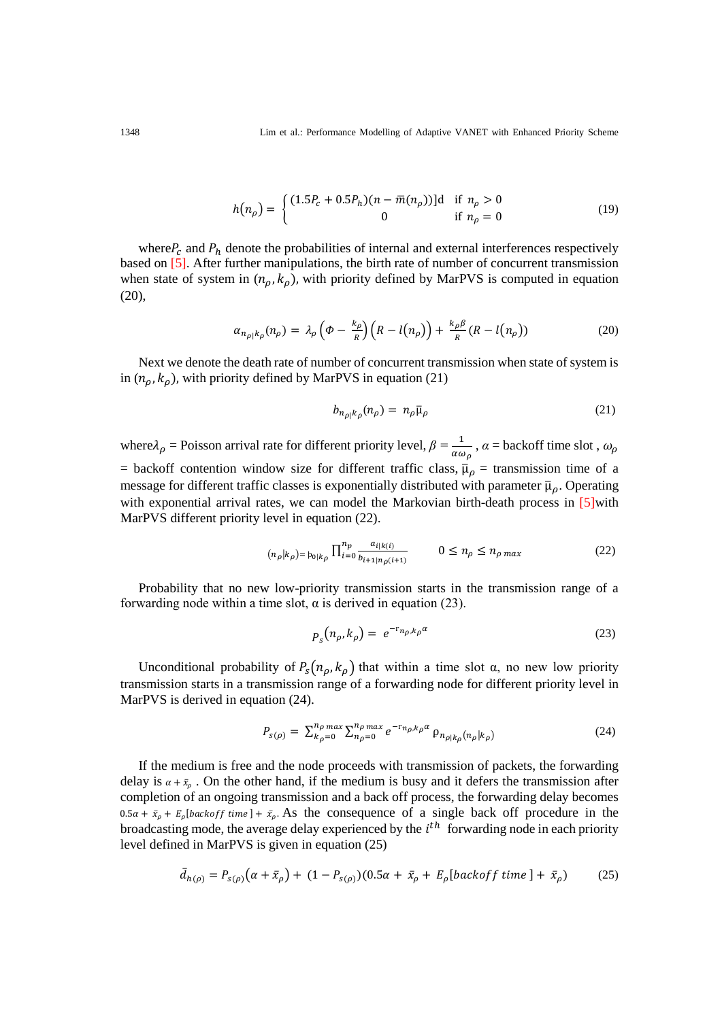1348 Lim et al.: Performance Modelling of Adaptive VANET with Enhanced Priority Scheme

$$
h(n_{\rho}) = \begin{cases} (1.5P_c + 0.5P_h)(n - \bar{m}(n_{\rho})) \, \text{d} & \text{if } n_{\rho} > 0 \\ 0 & \text{if } n_{\rho} = 0 \end{cases} \tag{19}
$$

where  $P_c$  and  $P_h$  denote the probabilities of internal and external interferences respectively based on [5]. After further manipulations, the birth rate of number of concurrent transmission when state of system in  $(n_{\rho}, k_{\rho})$ , with priority defined by MarPVS is computed in equation (20),

$$
\alpha_{n_{\rho}|k_{\rho}}(n_{\rho}) = \lambda_{\rho} \left(\phi - \frac{k_{\rho}}{R}\right) \left(R - l(n_{\rho})\right) + \frac{k_{\rho}\beta}{R} \left(R - l(n_{\rho})\right) \tag{20}
$$

Next we denote the death rate of number of concurrent transmission when state of system is in  $(n_{\rho}, k_{\rho})$ , with priority defined by MarPVS in equation (21)

$$
b_{n_{\rho}|k_{\rho}}(n_{\rho}) = n_{\rho}\bar{\mu}_{\rho}
$$
\n(21)

where  $\lambda_{\rho}$  = Poisson arrival rate for different priority level,  $\beta = \frac{1}{\alpha \omega_{\rho}}$ ,  $\alpha$  = backoff time slot,  $\omega_{\rho}$ = backoff contention window size for different traffic class,  $\bar{\mu}_{\rho}$  = transmission time of a message for different traffic classes is exponentially distributed with parameter  $\bar{\mu}_\rho$ . Operating with exponential arrival rates, we can model the Markovian birth-death process in [5] with MarPVS different priority level in equation (22).

$$
(n_{\rho}|k_{\rho}) = b_{0|k_{\rho}} \prod_{i=0}^{n_{p}} \frac{a_{i|k(i)}}{b_{i+1|n_{\rho}(i+1)}} \qquad 0 \le n_{\rho} \le n_{\rho \max} \qquad (22)
$$

Probability that no new low-priority transmission starts in the transmission range of a forwarding node within a time slot,  $\alpha$  is derived in equation (23).

$$
p_s(n_\rho, k_\rho) = e^{-r_{n_\rho, k_\rho} \alpha} \tag{23}
$$

Unconditional probability of  $P_s(n_\rho, k_\rho)$  that within a time slot  $\alpha$ , no new low priority transmission starts in a transmission range of a forwarding node for different priority level in MarPVS is derived in equation (24).

$$
P_{s(\rho)} = \sum_{k_{\rho}=0}^{n_{\rho} \max} \sum_{n_{\rho}=0}^{n_{\rho} \max} e^{-r_{n_{\rho},k_{\rho}} \alpha} \rho_{n_{\rho|k_{\rho}}(n_{\rho}|k_{\rho})}
$$
(24)

If the medium is free and the node proceeds with transmission of packets, the forwarding delay is  $\alpha + \bar{z}_0$ . On the other hand, if the medium is busy and it defers the transmission after completion of an ongoing transmission and a back off process, the forwarding delay becomes  $0.5\alpha + \bar{x}_{\rho} + E_{\rho}$ [backoff time] +  $\bar{x}_{\rho}$ . As the consequence of a single back off procedure in the broadcasting mode, the average delay experienced by the  $i<sup>th</sup>$  forwarding node in each priority level defined in MarPVS is given in equation (25)

$$
\bar{d}_{h(\rho)} = P_{s(\rho)}\big(\alpha + \bar{x}_\rho\big) + (1 - P_{s(\rho)})(0.5\alpha + \bar{x}_\rho + E_\rho[\text{backoff time }] + \bar{x}_\rho)
$$
(25)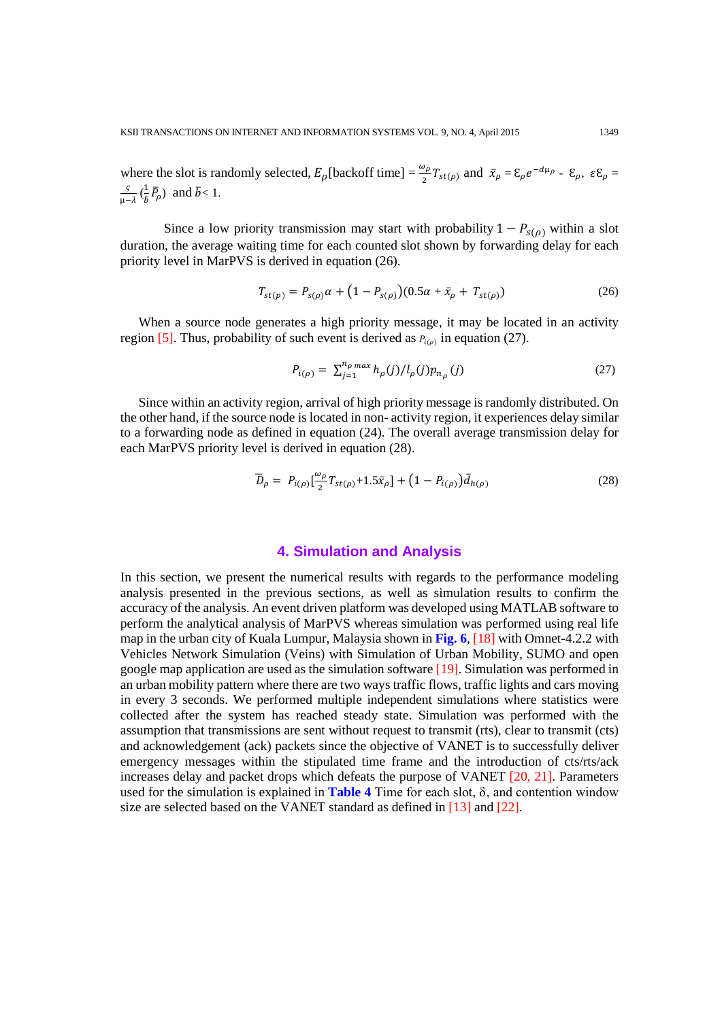where the slot is randomly selected,  $E_{\rho}$ [backoff time] =  $\frac{\omega_{\rho}}{2}T_{st(\rho)}$  and  $\bar{x}_{\rho} = \xi_{\rho}e^{-d\mu_{\rho}} - \xi_{\rho}$ ,  $\varepsilon \xi_{\rho} =$  $\frac{\varsigma}{\mu-\lambda}$  ( $\frac{1}{\overline{b}}\overline{P}_{\rho}$ ) and  $\overline{b}$  < 1.

Since a low priority transmission may start with probability  $1 - P_{s(\rho)}$  within a slot duration, the average waiting time for each counted slot shown by forwarding delay for each priority level in MarPVS is derived in equation (26).

$$
T_{st(p)} = P_{s(\rho)}\alpha + (1 - P_{s(\rho)})(0.5\alpha + \bar{x}_{\rho} + T_{st(\rho)})
$$
\n(26)

When a source node generates a high priority message, it may be located in an activity region [5]. Thus, probability of such event is derived as  $P_{i(\rho)}$  in equation (27).

$$
P_{i(\rho)} = \sum_{j=1}^{n_{\rho} \max} h_{\rho}(j) / l_{\rho}(j) p_{n_{\rho}}(j)
$$
 (27)

Since within an activity region, arrival of high priority message is randomly distributed. On the other hand, if the source node is located in non- activity region, it experiences delay similar to a forwarding node as defined in equation (24). The overall average transmission delay for each MarPVS priority level is derived in equation (28).

$$
\overline{D}_{\rho} = P_{i(\rho)} \left[ \frac{\omega_{\rho}}{2} T_{st(\rho)} + 1.5 \overline{x}_{\rho} \right] + \left( 1 - P_{i(\rho)} \right) \overline{d}_{h(\rho)} \tag{28}
$$

## **4. Simulation and Analysis**

In this section, we present the numerical results with regards to the performance modeling analysis presented in the previous sections, as well as simulation results to confirm the accuracy of the analysis. An event driven platform was developed using MATLAB software to perform the analytical analysis of MarPVS whereas simulation was performed using real life map in the urban city of Kuala Lumpur, Malaysia shown in **Fig. 6**, [18] with Omnet-4.2.2 with Vehicles Network Simulation (Veins) with Simulation of Urban Mobility, SUMO and open google map application are used as the simulation software [19]. Simulation was performed in an urban mobility pattern where there are two ways traffic flows, traffic lights and cars moving in every 3 seconds. We performed multiple independent simulations where statistics were collected after the system has reached steady state. Simulation was performed with the assumption that transmissions are sent without request to transmit (rts), clear to transmit (cts) and acknowledgement (ack) packets since the objective of VANET is to successfully deliver emergency messages within the stipulated time frame and the introduction of cts/rts/ack increases delay and packet drops which defeats the purpose of VANET [20, 21]. Parameters used for the simulation is explained in **Table 4** Time for each slot,  $\delta$ , and contention window size are selected based on the VANET standard as defined in [13] and [22].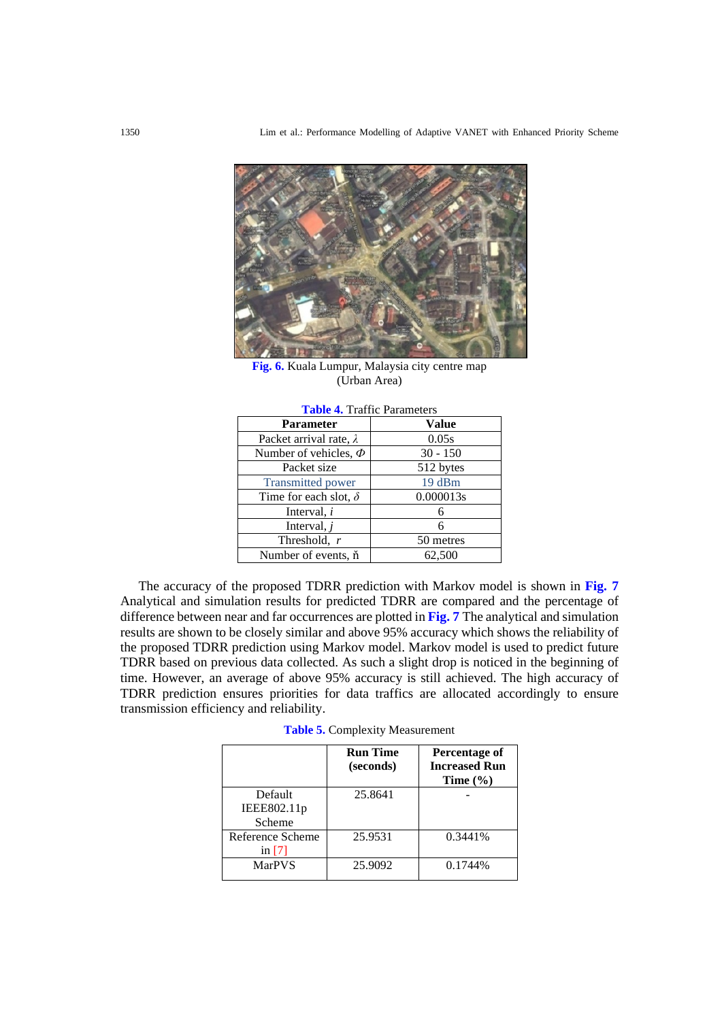

**Fig. 6.** Kuala Lumpur, Malaysia city centre map (Urban Area)

| <b>Table <math>\tau</math>.</b> Traffic Farancels |            |  |  |  |
|---------------------------------------------------|------------|--|--|--|
| <b>Parameter</b>                                  | Value      |  |  |  |
| Packet arrival rate, $\lambda$                    | 0.05s      |  |  |  |
| Number of vehicles, $\Phi$                        | $30 - 150$ |  |  |  |
| Packet size                                       | 512 bytes  |  |  |  |
| <b>Transmitted power</b>                          | 19 dBm     |  |  |  |
| Time for each slot, $\delta$                      | 0.000013s  |  |  |  |
| Interval, $i$                                     | 6          |  |  |  |
| Interval, $j$                                     | 6          |  |  |  |
| Threshold, r                                      | 50 metres  |  |  |  |
| Number of events, n                               | 62,500     |  |  |  |

**Table 4.** Traffic Parameters

The accuracy of the proposed TDRR prediction with Markov model is shown in **Fig. 7** Analytical and simulation results for predicted TDRR are compared and the percentage of difference between near and far occurrences are plotted in **Fig. 7** The analytical and simulation results are shown to be closely similar and above 95% accuracy which shows the reliability of the proposed TDRR prediction using Markov model. Markov model is used to predict future TDRR based on previous data collected. As such a slight drop is noticed in the beginning of time. However, an average of above 95% accuracy is still achieved. The high accuracy of TDRR prediction ensures priorities for data traffics are allocated accordingly to ensure transmission efficiency and reliability.

**Table 5.** Complexity Measurement

|                                  | <b>Run Time</b><br>(seconds) | Percentage of<br><b>Increased Run</b><br>Time $(\% )$ |
|----------------------------------|------------------------------|-------------------------------------------------------|
| Default<br>IEEE802.11p<br>Scheme | 25.8641                      |                                                       |
| Reference Scheme<br>in $[7]$     | 25.9531                      | 0.3441\%                                              |
| <b>MarPVS</b>                    | 25.9092                      | 0.1744\%                                              |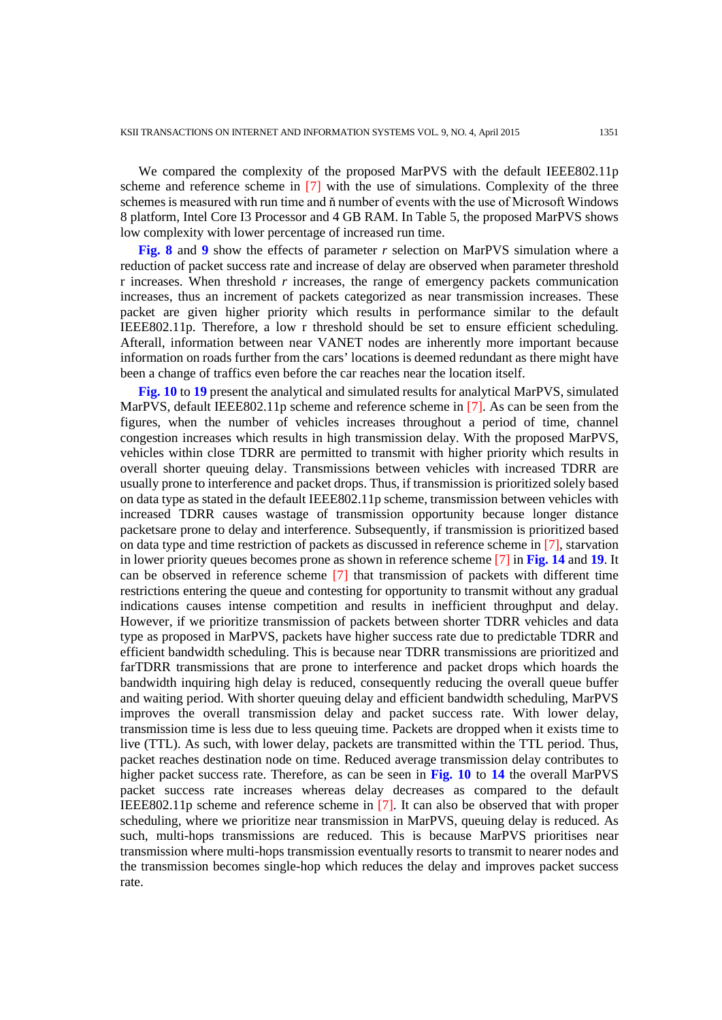We compared the complexity of the proposed MarPVS with the default IEEE802.11p scheme and reference scheme in [7] with the use of simulations. Complexity of the three schemes is measured with run time and ň number of events with the use of Microsoft Windows 8 platform, Intel Core I3 Processor and 4 GB RAM. In Table 5, the proposed MarPVS shows low complexity with lower percentage of increased run time.

**Fig. 8** and **9** show the effects of parameter *r* selection on MarPVS simulation where a reduction of packet success rate and increase of delay are observed when parameter threshold r increases. When threshold *r* increases, the range of emergency packets communication increases, thus an increment of packets categorized as near transmission increases. These packet are given higher priority which results in performance similar to the default IEEE802.11p. Therefore, a low r threshold should be set to ensure efficient scheduling. Afterall, information between near VANET nodes are inherently more important because information on roads further from the cars' locations is deemed redundant as there might have been a change of traffics even before the car reaches near the location itself.

**Fig. 10** to **19** present the analytical and simulated results for analytical MarPVS, simulated MarPVS, default IEEE802.11p scheme and reference scheme in [7]. As can be seen from the figures, when the number of vehicles increases throughout a period of time, channel congestion increases which results in high transmission delay. With the proposed MarPVS, vehicles within close TDRR are permitted to transmit with higher priority which results in overall shorter queuing delay. Transmissions between vehicles with increased TDRR are usually prone to interference and packet drops. Thus, if transmission is prioritized solely based on data type as stated in the default IEEE802.11p scheme, transmission between vehicles with increased TDRR causes wastage of transmission opportunity because longer distance packetsare prone to delay and interference. Subsequently, if transmission is prioritized based on data type and time restriction of packets as discussed in reference scheme in [7], starvation in lower priority queues becomes prone as shown in reference scheme [7] in **Fig. 14** and **19**. It can be observed in reference scheme [7] that transmission of packets with different time restrictions entering the queue and contesting for opportunity to transmit without any gradual indications causes intense competition and results in inefficient throughput and delay. However, if we prioritize transmission of packets between shorter TDRR vehicles and data type as proposed in MarPVS, packets have higher success rate due to predictable TDRR and efficient bandwidth scheduling. This is because near TDRR transmissions are prioritized and farTDRR transmissions that are prone to interference and packet drops which hoards the bandwidth inquiring high delay is reduced, consequently reducing the overall queue buffer and waiting period. With shorter queuing delay and efficient bandwidth scheduling, MarPVS improves the overall transmission delay and packet success rate. With lower delay, transmission time is less due to less queuing time. Packets are dropped when it exists time to live (TTL). As such, with lower delay, packets are transmitted within the TTL period. Thus, packet reaches destination node on time. Reduced average transmission delay contributes to higher packet success rate. Therefore, as can be seen in **Fig. 10** to **14** the overall MarPVS packet success rate increases whereas delay decreases as compared to the default IEEE802.11p scheme and reference scheme in [7]. It can also be observed that with proper scheduling, where we prioritize near transmission in MarPVS, queuing delay is reduced. As such, multi-hops transmissions are reduced. This is because MarPVS prioritises near transmission where multi-hops transmission eventually resorts to transmit to nearer nodes and the transmission becomes single-hop which reduces the delay and improves packet success rate.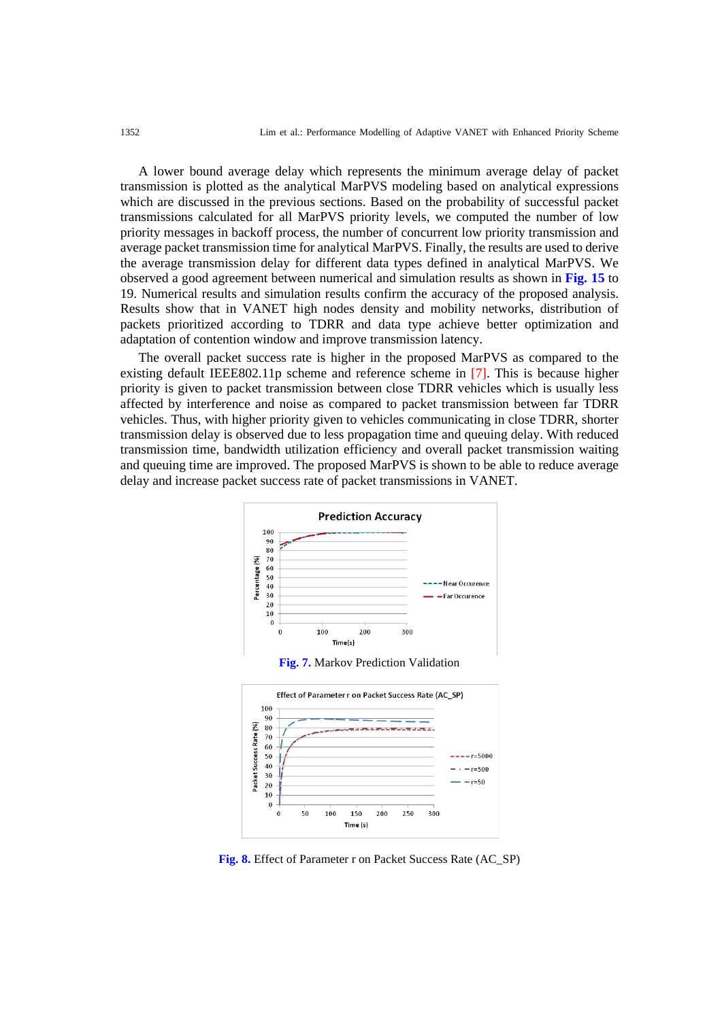A lower bound average delay which represents the minimum average delay of packet transmission is plotted as the analytical MarPVS modeling based on analytical expressions which are discussed in the previous sections. Based on the probability of successful packet transmissions calculated for all MarPVS priority levels, we computed the number of low priority messages in backoff process, the number of concurrent low priority transmission and average packet transmission time for analytical MarPVS. Finally, the results are used to derive the average transmission delay for different data types defined in analytical MarPVS. We observed a good agreement between numerical and simulation results as shown in **Fig. 15** to 19. Numerical results and simulation results confirm the accuracy of the proposed analysis. Results show that in VANET high nodes density and mobility networks, distribution of packets prioritized according to TDRR and data type achieve better optimization and adaptation of contention window and improve transmission latency.

The overall packet success rate is higher in the proposed MarPVS as compared to the existing default IEEE802.11p scheme and reference scheme in [7]. This is because higher priority is given to packet transmission between close TDRR vehicles which is usually less affected by interference and noise as compared to packet transmission between far TDRR vehicles. Thus, with higher priority given to vehicles communicating in close TDRR, shorter transmission delay is observed due to less propagation time and queuing delay. With reduced transmission time, bandwidth utilization efficiency and overall packet transmission waiting and queuing time are improved. The proposed MarPVS is shown to be able to reduce average delay and increase packet success rate of packet transmissions in VANET.







**Fig. 8.** Effect of Parameter r on Packet Success Rate (AC\_SP)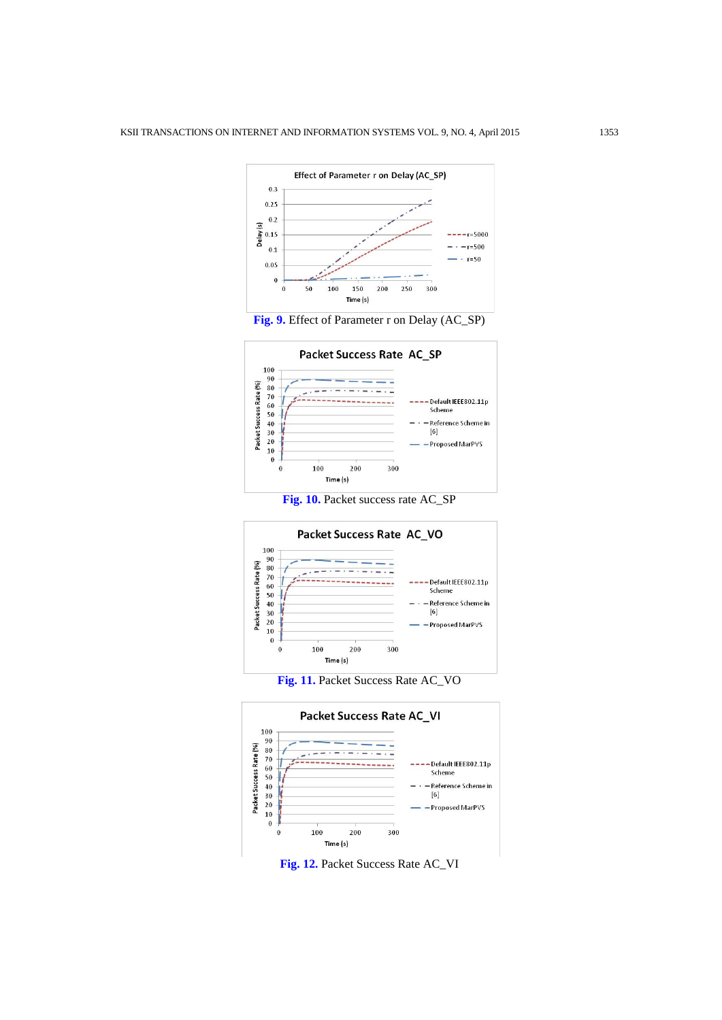



**Fig. 10.** Packet success rate AC\_SP







**Fig. 12.** Packet Success Rate AC\_VI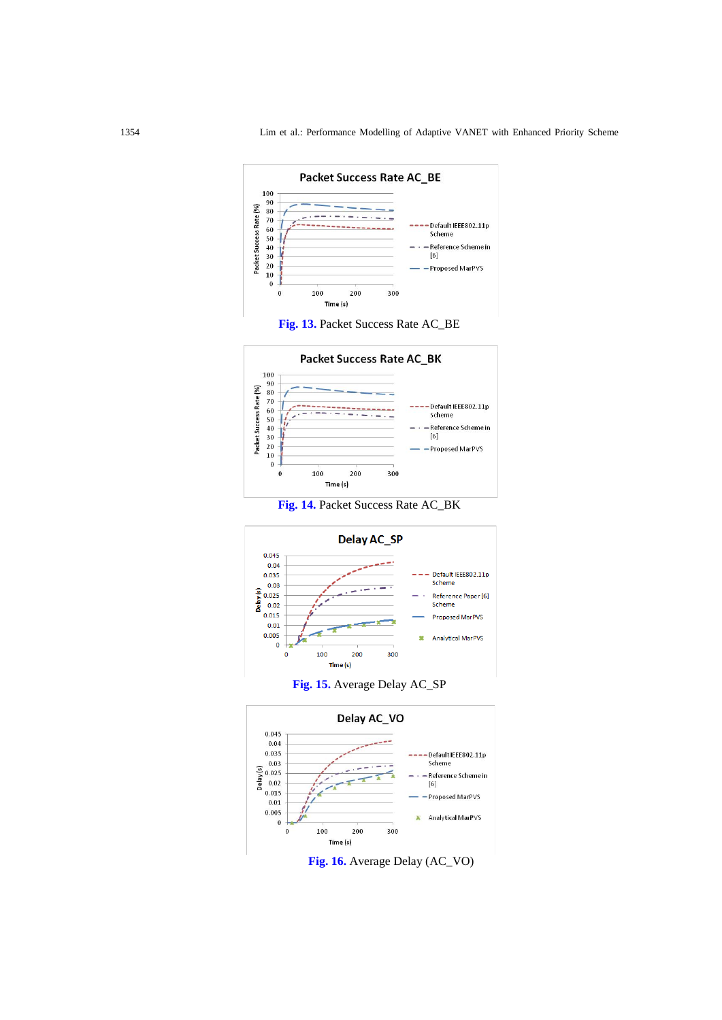













**Fig. 16.** Average Delay (AC\_VO)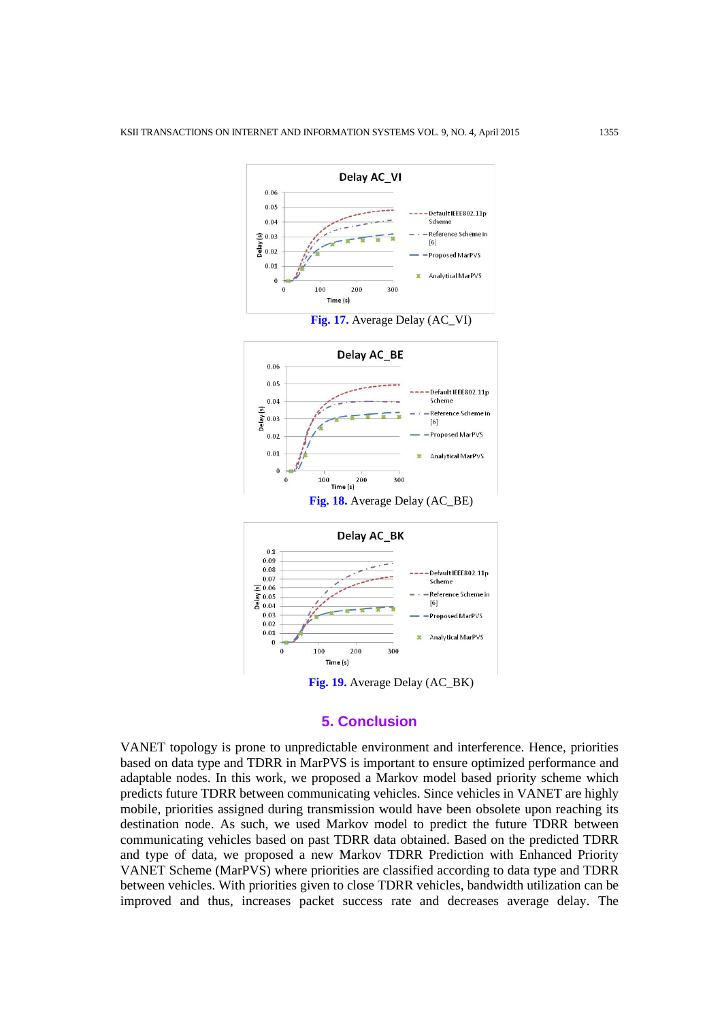

## **5. Conclusion**

VANET topology is prone to unpredictable environment and interference. Hence, priorities based on data type and TDRR in MarPVS is important to ensure optimized performance and adaptable nodes. In this work, we proposed a Markov model based priority scheme which predicts future TDRR between communicating vehicles. Since vehicles in VANET are highly mobile, priorities assigned during transmission would have been obsolete upon reaching its destination node. As such, we used Markov model to predict the future TDRR between communicating vehicles based on past TDRR data obtained. Based on the predicted TDRR and type of data, we proposed a new Markov TDRR Prediction with Enhanced Priority VANET Scheme (MarPVS) where priorities are classified according to data type and TDRR between vehicles. With priorities given to close TDRR vehicles, bandwidth utilization can be improved and thus, increases packet success rate and decreases average delay. The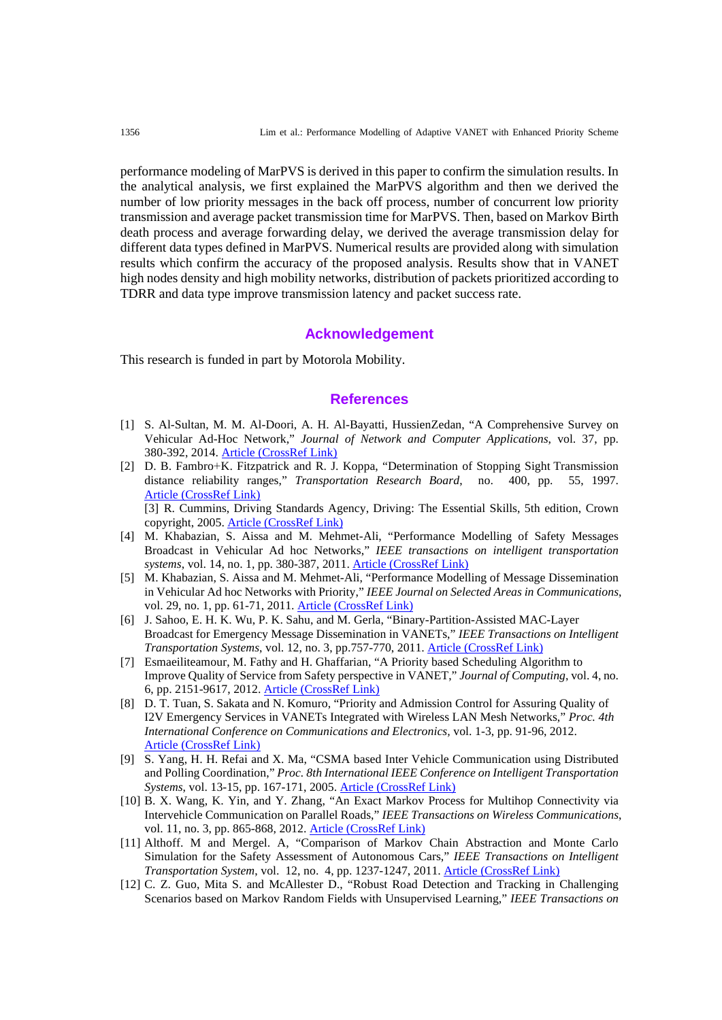performance modeling of MarPVS is derived in this paper to confirm the simulation results. In the analytical analysis, we first explained the MarPVS algorithm and then we derived the number of low priority messages in the back off process, number of concurrent low priority transmission and average packet transmission time for MarPVS. Then, based on Markov Birth death process and average forwarding delay, we derived the average transmission delay for different data types defined in MarPVS. Numerical results are provided along with simulation results which confirm the accuracy of the proposed analysis. Results show that in VANET high nodes density and high mobility networks, distribution of packets prioritized according to TDRR and data type improve transmission latency and packet success rate.

#### **Acknowledgement**

This research is funded in part by Motorola Mobility.

#### **References**

- [1] S. Al-Sultan, M. M. Al-Doori, A. H. Al-Bayatti, HussienZedan, "A Comprehensive Survey on Vehicular Ad-Hoc Network," *Journal of Network and Computer Applications*, vol. 37, pp. 380-392, 2014. [Article \(CrossRef Link\)](http://dx.doi.org/10.1016/j.jnca.2013.02.036)
- [2] D. [B. Fambro](https://www.google.com.my/search?rlz=1C1OPRB_enMY515MY515&biw=1366&bih=641&tbm=bks&tbm=bks&q=inauthor:%22Daniel+B.+Fambro%22&sa=X&ei=ezl3UvXJC8iQrQenoICgBQ&ved=0CEsQ9AgwAg)+�K. [Fitzpatrick](https://www.google.com.my/search?rlz=1C1OPRB_enMY515MY515&biw=1366&bih=641&tbm=bks&tbm=bks&q=inauthor:%22Kay+Fitzpatrick%22&sa=X&ei=ezl3UvXJC8iQrQenoICgBQ&ved=0CEwQ9AgwAg) and R. [J. Koppa,](https://www.google.com.my/search?rlz=1C1OPRB_enMY515MY515&biw=1366&bih=641&tbm=bks&tbm=bks&q=inauthor:%22Rodger+J.+Koppa%22&sa=X&ei=ezl3UvXJC8iQrQenoICgBQ&ved=0CE0Q9AgwAg) ["Determination of Stopping Sight](http://books.google.com.my/books?id=I511spiUbQsC&pg=PA55&dq=accidents+are+more+likely+to+happen+driving+near+distance&hl=en&sa=X&ei=ezl3UvXJC8iQrQenoICgBQ&ved=0CEkQ6AEwAg) Transmission distance reliability ranges," *[Transportation Research Board](http://books.google.com.my/books?id=I511spiUbQsC&pg=PA55&dq=accidents+are+more+likely+to+happen+driving+near+distance&hl=en&sa=X&ei=ezl3UvXJC8iQrQenoICgBQ&ved=0CEkQ6AEwAg)*, no. 400, pp. 55, 1997. [Article \(CrossRef Link\)](https://books.google.com.my/books?isbn=0309060737) [3] R. Cummins, Driving Standards Agency, [Driving: The Essential Skills, 5th edition,](http://books.google.com.my/books?id=cHLobI8YgfcC&pg=PA118&dq=accidents+are+more+likely+to+happen+driving+near+distance&hl=en&sa=X&ei=ezl3UvXJC8iQrQenoICgBQ&ved=0CHUQ6AEwCQ) Crown

copyright, 2005. [Article \(CrossRef Link\)](https://books.google.com.my/books?id=rOtlpO8bN9AC&pg=PA2&lpg=PA2&dq=Driving:+The+Essential+Skills,+5th+edition,+Crown+copyright,+2005.&source=bl&ots=xaNQ7ujwfe&sig=XlCOHB0bjbdaVLKhVJTaWu4YVpc&hl=en&sa=X&ei=0pbQVIXgJIW48gW4qYH4CQ&ved=0CB4Q6AEwAA%23v=onepage&q=Driving%3A%20The%20Essential%20Skills%2C%205th%20edition%2C%20Crown%20copyright%2C%202005.&f=false)

- [4] M. Khabazian, S. Aissa and M. Mehmet-Ali, "Performance Modelling of Safety Messages Broadcast in Vehicular Ad hoc Networks," *IEEE transactions on intelligent transportation systems*, vol. 14, no. 1, pp. 380-387, 2011. [Article \(CrossRef Link\)](http://dx.doi.org/10.1109/TITS.2012.2213595)
- [5] M. Khabazian, S. Aissa and M. Mehmet-Ali, "Performance Modelling of Message Dissemination in Vehicular Ad hoc Networks with Priority," *IEEE Journal on Selected Areas in Communications*, vol. 29, no. 1, pp. 61-71, 2011. [Article \(CrossRef Link\)](http://dx.doi.org/10.1109/JSAC.2011.110107)
- [6] J. Sahoo, E. H. K. Wu, P. K. Sahu, and M. Gerla, "Binary-Partition-Assisted MAC-Layer Broadcast for Emergency Message Dissemination in VANETs," *IEEE Transactions on Intelligent Transportation Systems*, vol. 12, no. 3, pp.757-770, 2011. [Article \(CrossRef Link\)](https://www.google.com.my/search?q=Jagruti+Sahoo,+Eric+Hsiao-Kuang+Wu,+Pratap+Kumar+Sahu,+and+Mario+Gerla,+%E2%80%9CBinary-Partition-Assisted+MAC-Layer+Broadcast+for+Emergency+Message+Dissemination+in+VANETs%E2%80%9D,+IEEE+Transactions+on+Intelligent+Transportation+Systems,+Vol.+12,+No.+3,+September+20&btnG=Search+Books&tbm=bks&tbo=1&gws_rd=cr&ei=EZjQVPvWI4bn8gW_yoHQCg)
- [7] Esmaeiliteamour, M. Fathy and H. Ghaffarian, "A Priority based Scheduling Algorithm to Improve Quality of Service from Safety perspective in VANET," *Journal of Computing*, vol. 4, no. 6, pp. 2151-9617, 2012. [Article \(CrossRef Link\)](http://www.scribd.com/doc/100494043/A-Priority-based-Scheduling-Algorithm-to-Improve-Quality-of-Service-from-Safety-perspective-in-VANET)
- [8] D. T. Tuan, S. Sakata and N. Komuro, "Priority and Admission Control for Assuring Quality of I2V Emergency Services in VANETs Integrated with Wireless LAN Mesh Networks," *Proc. 4th International Conference o[n Communications](http://ieeexplore.ieee.org/xpl/mostRecentIssue.jsp?punumber=6307954) and Electronics,* vol. 1-3, pp. 91-96, 2012. [Article \(CrossRef Link\)](http://ieeexplore.ieee.org/xpl/login.jsp?tp=&arnumber=6315877&url=http%3A%2F%2Fieeexplore.ieee.org%2Fiel5%2F6307954%2F6315859%2F06315877.pdf%3Farnumber%3D6315877)
- [9] S. Yang, H. H. Refai and X. Ma, "CSMA based Inter Vehicle Communication using Distributed and Polling Coordination," *Proc. 8th International IEEE Conference on Intelligent Transportation Systems*, vol. 13-15, pp. 167-171, 2005. [Article \(CrossRef Link\)](http://libra.msra.cn/Publication/50421326/csma-based-inter-vehicle-communication-using-distributed-and-polling-coordination)
- [10] B. X. Wang, K. Yin, and Y. Zhang, "An Exact Markov Process for Multihop Connectivity via Intervehicle Communication on Parallel Roads," *IEEE Transactions on Wireless Communications*, vol. 11, no. 3, pp. 865-868, 2012. [Article \(CrossRef Link\)](http://dx.doi.org/10.1109/TWC.2012.011812.100686)
- [11] Althoff. M and Mergel. A, "Comparison of Markov Chain Abstraction and Monte Carlo Simulation for the Safety Assessment of Autonomous Cars," *IEEE Transactions on Intelligent Transportation System*, vol. 12, no. 4, pp. 1237-1247, 2011. [Article \(CrossRef Link\)](http://dx.doi.org/10.1109/TITS.2011.2157342)
- [12] C. Z. Guo, Mita S. and McAllester D., "Robust Road Detection and Tracking in Challenging Scenarios based on Markov Random Fields with Unsupervised Learning," *IEEE Transactions on*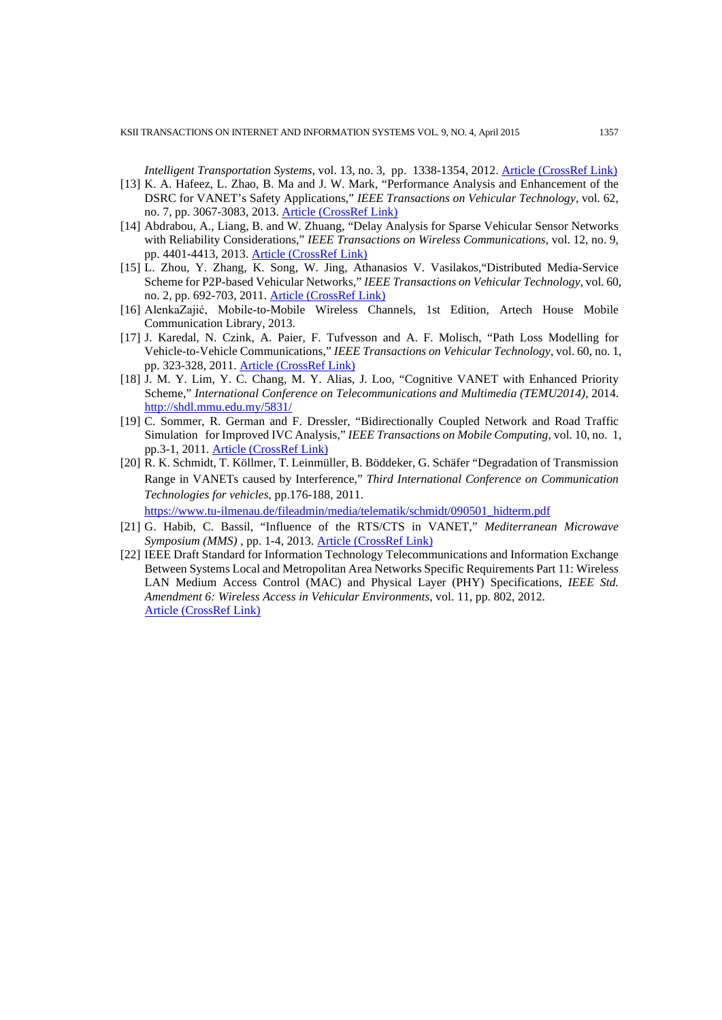*Intelligent Transportation Systems*, vol. 13, no. 3, pp. 1338-1354, 2012. **[Article \(CrossRef Link\)](http://dx.doi.org/10.1109/TITS.2012.2187896)** 

- [13] K. A. Hafeez, L. Zhao, B. Ma and J. W. Mark, "Performance Analysis and Enhancement of the DSRC for VANET's Safety Applications," *IEEE Transactions on Vehicular Technology*, vol. 62, no. 7, pp. 3067-3083, 2013. [Article \(CrossRef Link\)](http://dx.doi.org/10.1109/TVT.2013.2251374)
- [14] [Abdrabou, A.,](http://ieeexplore.ieee.org/search/searchresult.jsp?searchWithin=p_Authors:.QT.Abdrabou,%20A..QT.&newsearch=true) [Liang, B.](http://ieeexplore.ieee.org/search/searchresult.jsp?searchWithin=p_Authors:.QT.Liang,%20B..QT.&newsearch=true) and W. [Zhuang,](http://ieeexplore.ieee.org/search/searchresult.jsp?searchWithin=p_Authors:.QT.Weihua%20Zhuang.QT.&newsearch=true) "Delay Analysis for Sparse Vehicular Sensor Networks with Reliability Considerations," *IEEE Transactions on Wireless Communications*, vol. 12, no. 9, pp. 4401-4413, 2013. [Article \(CrossRef Link\)](http://dx.doi.org/10.1109/TW.2013.072313.121397)
- [15] L. Zhou, Y. Zhang, K. Song, W. Jing, Athanasios V. Vasilakos,"Distributed Media-Service Scheme for P2P-based Vehicular Networks," *IEEE Transactions on Vehicular Technology*, vol. 60, no. 2, pp. 692-703, 2011. [Article \(CrossRef Link\)](http://dx.doi.org/10.1109/TVT.2010.2102782)
- [16] AlenkaZajić, Mobile-to-Mobile Wireless Channels, 1st Edition, Artech House Mobile Communication Library, 2013.
- [17] J. Karedal, N. Czink, A. Paier, F. Tufvesson and A. F. Molisch, "Path Loss Modelling for Vehicle-to-Vehicle Communications," *IEEE Transactions on Vehicular Technology*, vol. 60, no. 1, pp. 323-328, 2011. [Article \(CrossRef Link\)](http://dx.doi.org/10.1109/TVT.2010.2094632)
- [18] J. M. Y. Lim, Y. C. Chang, M. Y. Alias, J. Loo, "Cognitive VANET with Enhanced Priority Scheme," *International Conference on Telecommunications and Multimedia (TEMU2014)*, 2014. http://shdl.mmu.edu.my/5831/
- [19] C. Sommer, R. German and F. Dressler, "Bidirectionally Coupled Network and Road Traffic Simulation for Improved IVC Analysis," *IEEE Transactions on Mobile Computing*, vol. 10, no. 1, pp.3-1, 2011. [Article \(CrossRef Link\)](http://dx.doi.org/10.1109/TMC.2010.133)
- [20] R. K. Schmidt, T. Köllmer, T. Leinmüller, B. Böddeker, G. Schäfer "Degradation of Transmission Range in VANETs caused by Interference," *Third International Conference on Communication Technologies for vehicles*, pp.176-188, 2011. https://www.tu-ilmenau.de/fileadmin/media/telematik/schmidt/090501\_hidterm.pdf
	-
- [21] G. Habib, C. Bassil, "Influence of the RTS/CTS in VANET," *[Mediterranean Microwave](http://ieeexplore.ieee.org.proxyvlib.mmu.edu.my/xpl/mostRecentIssue.jsp?punumber=6646397)  [Symposium \(MMS\)](http://ieeexplore.ieee.org.proxyvlib.mmu.edu.my/xpl/mostRecentIssue.jsp?punumber=6646397)* , pp. 1-4, 2013. [Article \(CrossRef Link\)](https://www.deepdyve.com/lp/institute-of-electrical-and-electronics-engineers/influence-of-the-rts-cts-in-vanet-s9rwvJAuqM)
- [22] IEEE Draft Standard for Information Technology Telecommunications and Information Exchange Between Systems Local and Metropolitan Area Networks Specific Requirements Part 11: Wireless LAN Medium Access Control (MAC) and Physical Layer (PHY) Specifications, *IEEE Std. Amendment 6: Wireless Access in Vehicular Environments*, vol. 11, pp. 802, 2012. [Article \(CrossRef Link\)](http://ieeexplore.ieee.org/xpl/articleDetails.jsp?arnumber=654749)